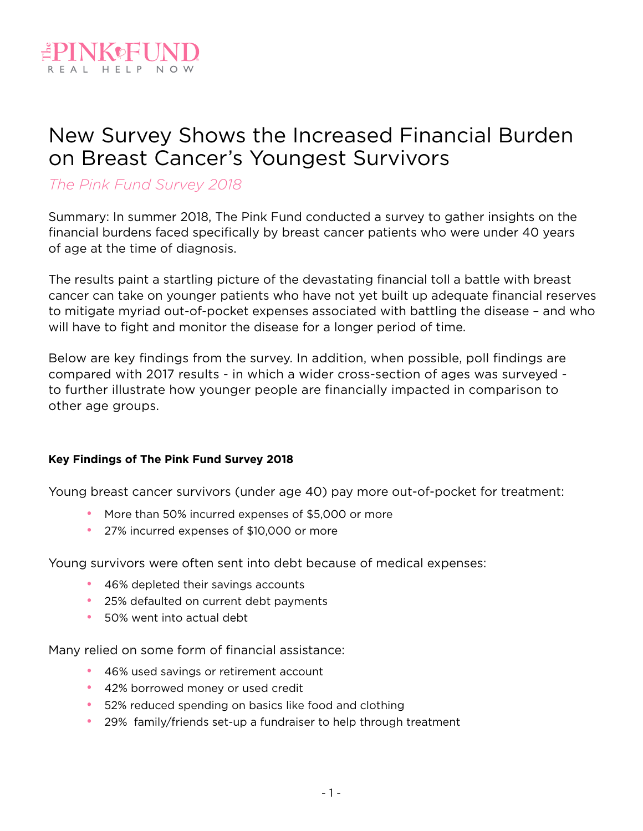

## New Survey Shows the Increased Financial Burden on Breast Cancer's Youngest Survivors

## *The Pink Fund Survey 2018*

Summary: In summer 2018, The Pink Fund conducted a survey to gather insights on the financial burdens faced specifically by breast cancer patients who were under 40 years of age at the time of diagnosis.

The results paint a startling picture of the devastating financial toll a battle with breast cancer can take on younger patients who have not yet built up adequate financial reserves to mitigate myriad out-of-pocket expenses associated with battling the disease – and who will have to fight and monitor the disease for a longer period of time.

Below are key findings from the survey. In addition, when possible, poll findings are compared with 2017 results - in which a wider cross-section of ages was surveyed to further illustrate how younger people are financially impacted in comparison to other age groups.

#### **Key Findings of The Pink Fund Survey 2018**

Young breast cancer survivors (under age 40) pay more out-of-pocket for treatment:

- More than 50% incurred expenses of \$5,000 or more
- 27% incurred expenses of \$10,000 or more

Young survivors were often sent into debt because of medical expenses:

- 46% depleted their savings accounts
- 25% defaulted on current debt payments
- 50% went into actual debt

Many relied on some form of financial assistance:

- 46% used savings or retirement account
- 42% borrowed money or used credit
- 52% reduced spending on basics like food and clothing
- 29% family/friends set-up a fundraiser to help through treatment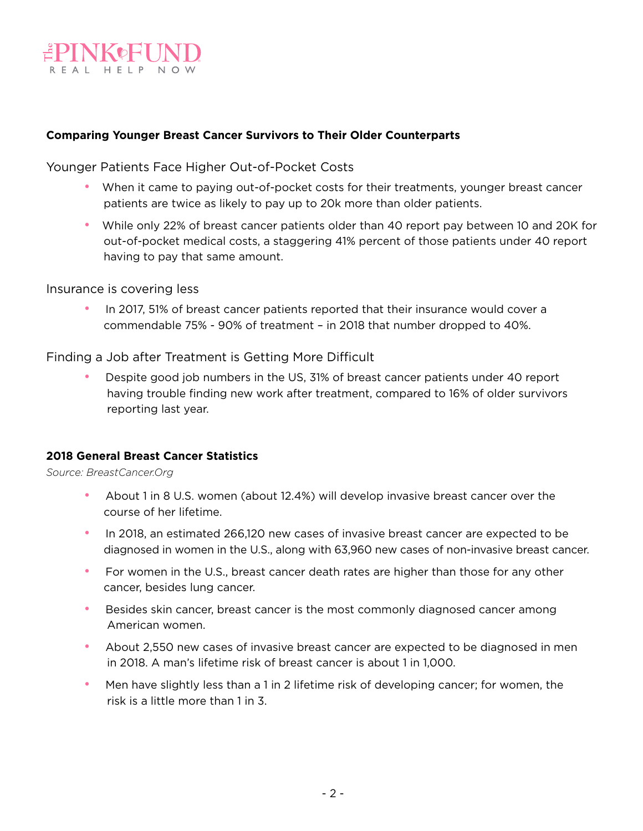

#### **Comparing Younger Breast Cancer Survivors to Their Older Counterparts**

Younger Patients Face Higher Out-of-Pocket Costs

- When it came to paying out-of-pocket costs for their treatments, younger breast cancer patients are twice as likely to pay up to 20k more than older patients.
- While only 22% of breast cancer patients older than 40 report pay between 10 and 20K for out-of-pocket medical costs, a staggering 41% percent of those patients under 40 report having to pay that same amount.

Insurance is covering less

• In 2017, 51% of breast cancer patients reported that their insurance would cover a commendable 75% - 90% of treatment – in 2018 that number dropped to 40%.

Finding a Job after Treatment is Getting More Difficult

• Despite good job numbers in the US, 31% of breast cancer patients under 40 report having trouble finding new work after treatment, compared to 16% of older survivors reporting last year.

#### **2018 General Breast Cancer Statistics**

*Source: BreastCancer.Org*

- About 1 in 8 U.S. women (about 12.4%) will develop invasive breast cancer over the course of her lifetime.
- In 2018, an estimated 266,120 new cases of invasive breast cancer are expected to be diagnosed in women in the U.S., along with 63,960 new cases of non-invasive breast cancer.
- For women in the U.S., breast cancer death rates are higher than those for any other cancer, besides lung cancer.
- Besides skin cancer, breast cancer is the most commonly diagnosed cancer among American women.
- About 2,550 new cases of invasive breast cancer are expected to be diagnosed in men in 2018. A man's lifetime risk of breast cancer is about 1 in 1,000.
- Men have slightly less than a 1 in 2 lifetime risk of developing cancer; for women, the risk is a little more than 1 in 3.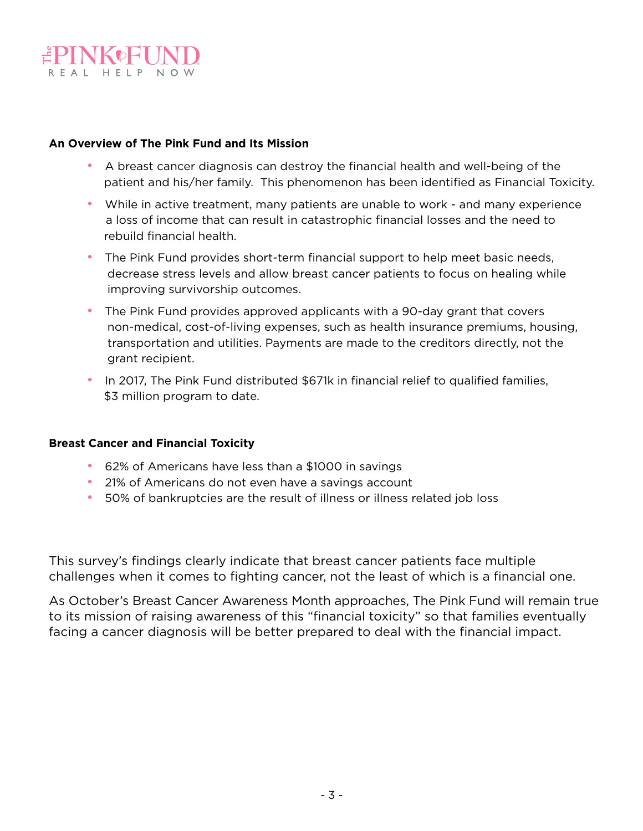

#### **An Overview of The Pink Fund and Its Mission**

- A breast cancer diagnosis can destroy the financial health and well-being of the patient and his/her family. This phenomenon has been identified as Financial Toxicity.
- While in active treatment, many patients are unable to work and many experience a loss of income that can result in catastrophic financial losses and the need to rebuild financial health.
- The Pink Fund provides short-term financial support to help meet basic needs, decrease stress levels and allow breast cancer patients to focus on healing while improving survivorship outcomes.
- The Pink Fund provides approved applicants with a 90-day grant that covers non-medical, cost-of-living expenses, such as health insurance premiums, housing, transportation and utilities. Payments are made to the creditors directly, not the grant recipient.
- In 2017, The Pink Fund distributed \$671k in financial relief to qualified families, \$3 million program to date.

#### **Breast Cancer and Financial Toxicity**

- 62% of Americans have less than a \$1000 in savings
- 21% of Americans do not even have a savings account
- 50% of bankruptcies are the result of illness or illness related job loss

This survey's findings clearly indicate that breast cancer patients face multiple challenges when it comes to fighting cancer, not the least of which is a financial one.

As October's Breast Cancer Awareness Month approaches, The Pink Fund will remain true to its mission of raising awareness of this "financial toxicity" so that families eventually facing a cancer diagnosis will be better prepared to deal with the financial impact.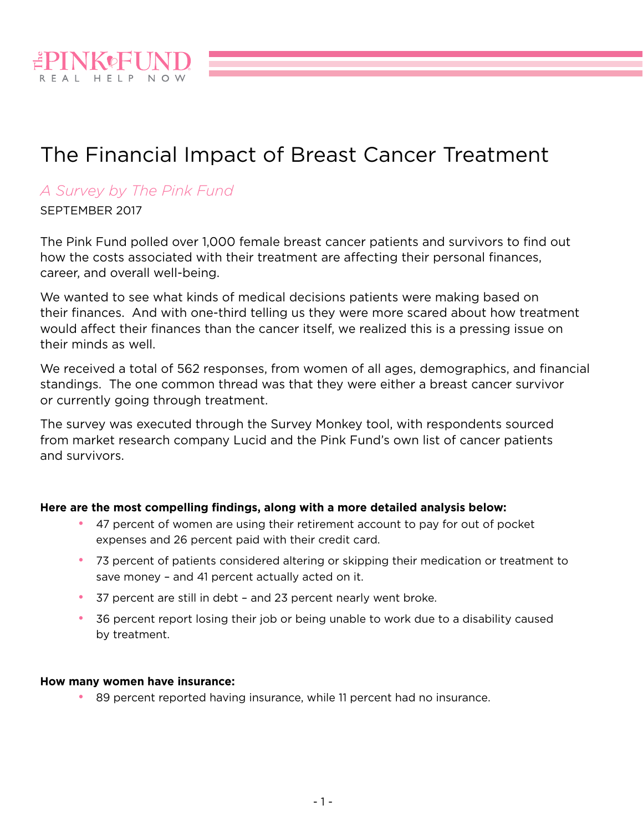

# The Financial Impact of Breast Cancer Treatment

### *A Survey by The Pink Fund*

SEPTEMBER 2017

The Pink Fund polled over 1,000 female breast cancer patients and survivors to find out how the costs associated with their treatment are affecting their personal finances, career, and overall well-being.

We wanted to see what kinds of medical decisions patients were making based on their finances. And with one-third telling us they were more scared about how treatment would affect their finances than the cancer itself, we realized this is a pressing issue on their minds as well.

We received a total of 562 responses, from women of all ages, demographics, and financial standings. The one common thread was that they were either a breast cancer survivor or currently going through treatment.

The survey was executed through the Survey Monkey tool, with respondents sourced from market research company Lucid and the Pink Fund's own list of cancer patients and survivors.

#### **Here are the most compelling findings, along with a more detailed analysis below:**

- 47 percent of women are using their retirement account to pay for out of pocket expenses and 26 percent paid with their credit card.
- 73 percent of patients considered altering or skipping their medication or treatment to save money – and 41 percent actually acted on it.
- 37 percent are still in debt and 23 percent nearly went broke.
- 36 percent report losing their job or being unable to work due to a disability caused by treatment.

#### **How many women have insurance:**

• 89 percent reported having insurance, while 11 percent had no insurance.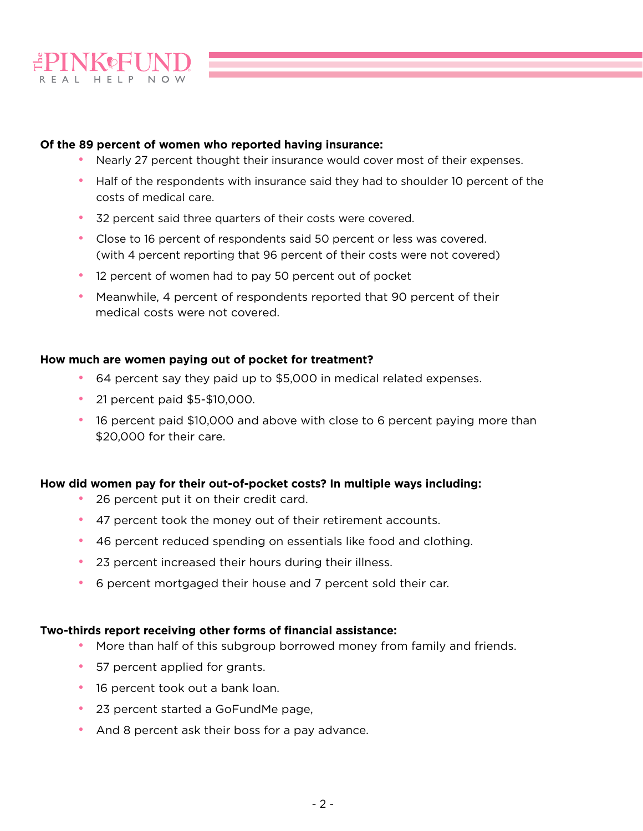

#### **Of the 89 percent of women who reported having insurance:**

- Nearly 27 percent thought their insurance would cover most of their expenses.
- Half of the respondents with insurance said they had to shoulder 10 percent of the costs of medical care.
- 32 percent said three quarters of their costs were covered.
- Close to 16 percent of respondents said 50 percent or less was covered. (with 4 percent reporting that 96 percent of their costs were not covered)
- 12 percent of women had to pay 50 percent out of pocket
- Meanwhile, 4 percent of respondents reported that 90 percent of their medical costs were not covered.

#### **How much are women paying out of pocket for treatment?**

- 64 percent say they paid up to \$5,000 in medical related expenses.
- 21 percent paid \$5-\$10,000.
- 16 percent paid \$10,000 and above with close to 6 percent paying more than \$20,000 for their care.

#### **How did women pay for their out-of-pocket costs? In multiple ways including:**

- 26 percent put it on their credit card.
- 47 percent took the money out of their retirement accounts.
- 46 percent reduced spending on essentials like food and clothing.
- 23 percent increased their hours during their illness.
- 6 percent mortgaged their house and 7 percent sold their car.

#### **Two-thirds report receiving other forms of financial assistance:**

- More than half of this subgroup borrowed money from family and friends.
- 57 percent applied for grants.
- 16 percent took out a bank loan.
- 23 percent started a GoFundMe page,
- And 8 percent ask their boss for a pay advance.